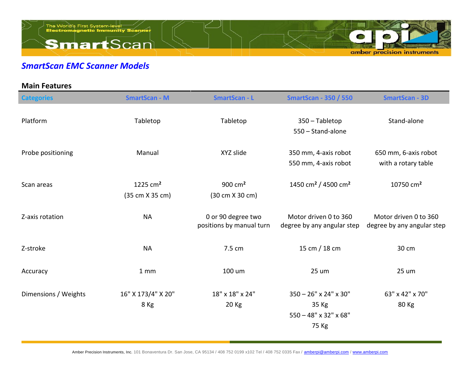

## *SmartScan EMC Scanner Models*

| <b>Main Features</b> |                               |                                                     |                                                                                          |                                                     |
|----------------------|-------------------------------|-----------------------------------------------------|------------------------------------------------------------------------------------------|-----------------------------------------------------|
| <b>Categories</b>    | <b>SmartScan - M</b>          | <b>SmartScan - L</b>                                | <b>SmartScan - 350 / 550</b>                                                             | <b>SmartScan - 3D</b>                               |
| Platform             | Tabletop                      | Tabletop                                            | 350 - Tabletop<br>550 - Stand-alone                                                      | Stand-alone                                         |
| Probe positioning    | Manual                        | XYZ slide                                           | 350 mm, 4-axis robot<br>550 mm, 4-axis robot                                             | 650 mm, 6-axis robot<br>with a rotary table         |
| Scan areas           | 1225 $cm2$<br>(35 cm X 35 cm) | 900 $cm2$<br>$(30 \text{ cm} \times 30 \text{ cm})$ | 1450 cm <sup>2</sup> / 4500 cm <sup>2</sup>                                              | 10750 cm <sup>2</sup>                               |
| Z-axis rotation      | <b>NA</b>                     | 0 or 90 degree two<br>positions by manual turn      | Motor driven 0 to 360<br>degree by any angular step                                      | Motor driven 0 to 360<br>degree by any angular step |
| Z-stroke             | <b>NA</b>                     | 7.5 cm                                              | 15 cm / 18 cm                                                                            | 30 cm                                               |
| Accuracy             | 1 <sub>mm</sub>               | 100 um                                              | 25 um                                                                                    | 25 um                                               |
| Dimensions / Weights | 16" X 173/4" X 20"<br>8 Kg    | 18" x 18" x 24"<br>20 Kg                            | $350 - 26" \times 24" \times 30"$<br>35 Kg<br>$550 - 48" \times 32" \times 68"$<br>75 Kg | 63" x 42" x 70"<br>80 Kg                            |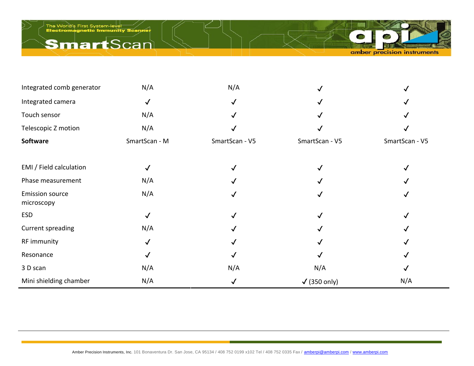## **Smart**Scan



| Integrated comb generator            | N/A           | N/A            |                      |                |
|--------------------------------------|---------------|----------------|----------------------|----------------|
| Integrated camera                    | $\checkmark$  |                |                      |                |
| Touch sensor                         | N/A           |                |                      |                |
| Telescopic Z motion                  | N/A           |                |                      |                |
| Software                             | SmartScan - M | SmartScan - V5 | SmartScan - V5       | SmartScan - V5 |
|                                      |               |                |                      |                |
| EMI / Field calculation              | ✓             |                |                      |                |
| Phase measurement                    | N/A           |                |                      |                |
| <b>Emission source</b><br>microscopy | N/A           |                |                      |                |
| ESD                                  | $\checkmark$  |                |                      |                |
| Current spreading                    | N/A           |                |                      |                |
| RF immunity                          | $\checkmark$  |                |                      |                |
| Resonance                            |               |                |                      |                |
| 3 D scan                             | N/A           | N/A            | N/A                  |                |
| Mini shielding chamber               | N/A           |                | $\sqrt{}$ (350 only) | N/A            |